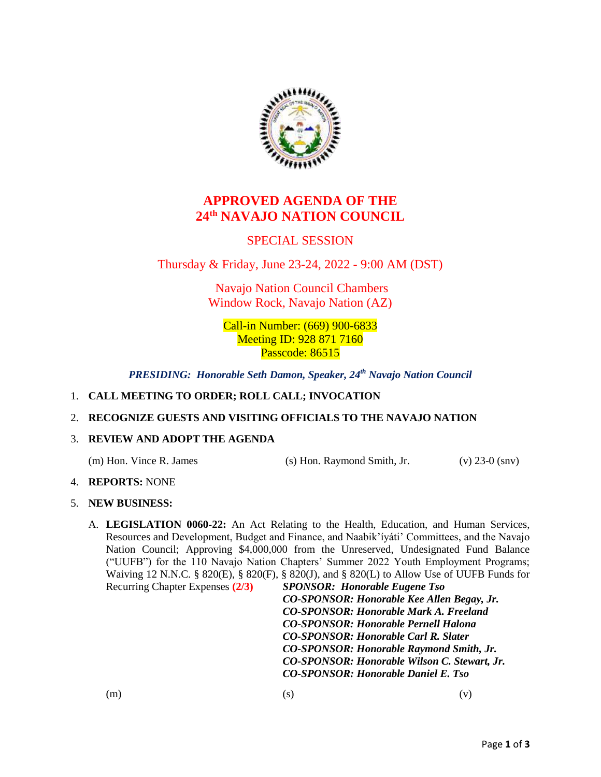

# **APPROVED AGENDA OF THE 24th NAVAJO NATION COUNCIL**

## SPECIAL SESSION

Thursday & Friday, June 23-24, 2022 - 9:00 AM (DST)

Navajo Nation Council Chambers Window Rock, Navajo Nation (AZ)

Call-in Number: (669) 900-6833 Meeting ID: 928 871 7160 Passcode: 86515

*PRESIDING: Honorable Seth Damon, Speaker, 24th Navajo Nation Council*

### 1. **CALL MEETING TO ORDER; ROLL CALL; INVOCATION**

### 2. **RECOGNIZE GUESTS AND VISITING OFFICIALS TO THE NAVAJO NATION**

### 3. **REVIEW AND ADOPT THE AGENDA**

(m) Hon. Vince R. James (s) Hon. Raymond Smith, Jr. (v) 23-0 (snv)

### 4. **REPORTS:** NONE

### 5. **NEW BUSINESS:**

A. **LEGISLATION 0060-22:** An Act Relating to the Health, Education, and Human Services, Resources and Development, Budget and Finance, and Naabik'íyáti' Committees, and the Navajo Nation Council; Approving \$4,000,000 from the Unreserved, Undesignated Fund Balance ("UUFB") for the 110 Navajo Nation Chapters' Summer 2022 Youth Employment Programs; Waiving 12 N.N.C. § 820(E), § 820(F), § 820(J), and § 820(L) to Allow Use of UUFB Funds for Recurring Chapter Expenses **(2/3)** *SPONSOR: Honorable Eugene Tso*

*CO-SPONSOR: Honorable Kee Allen Begay, Jr. CO-SPONSOR: Honorable Mark A. Freeland CO-SPONSOR: Honorable Pernell Halona CO-SPONSOR: Honorable Carl R. Slater CO-SPONSOR: Honorable Raymond Smith, Jr. CO-SPONSOR: Honorable Wilson C. Stewart, Jr. CO-SPONSOR: Honorable Daniel E. Tso*

 $(m)$  (s)  $(v)$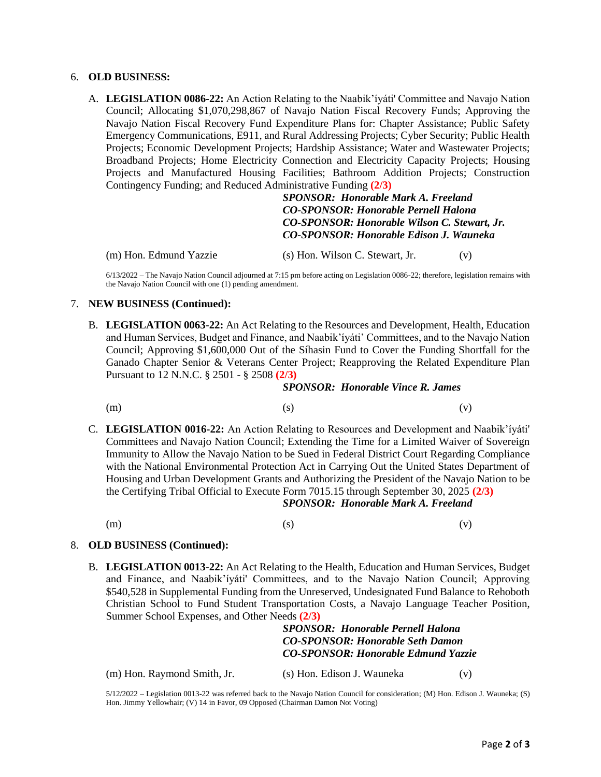#### 6. **OLD BUSINESS:**

A. **LEGISLATION 0086-22:** An Action Relating to the Naabik'íyáti' Committee and Navajo Nation Council; Allocating \$1,070,298,867 of Navajo Nation Fiscal Recovery Funds; Approving the Navajo Nation Fiscal Recovery Fund Expenditure Plans for: Chapter Assistance; Public Safety Emergency Communications, E911, and Rural Addressing Projects; Cyber Security; Public Health Projects; Economic Development Projects; Hardship Assistance; Water and Wastewater Projects; Broadband Projects; Home Electricity Connection and Electricity Capacity Projects; Housing Projects and Manufactured Housing Facilities; Bathroom Addition Projects; Construction Contingency Funding; and Reduced Administrative Funding **(2/3)**

> *SPONSOR: Honorable Mark A. Freeland CO-SPONSOR: Honorable Pernell Halona CO-SPONSOR: Honorable Wilson C. Stewart, Jr. CO-SPONSOR: Honorable Edison J. Wauneka*

(m) Hon. Edmund Yazzie (s) Hon. Wilson C. Stewart, Jr. (v)

6/13/2022 – The Navajo Nation Council adjourned at 7:15 pm before acting on Legislation 0086-22; therefore, legislation remains with the Navajo Nation Council with one (1) pending amendment.

#### 7. **NEW BUSINESS (Continued):**

B. **LEGISLATION 0063-22:** An Act Relating to the Resources and Development, Health, Education and Human Services, Budget and Finance, and Naabik'íyáti' Committees, and to the Navajo Nation Council; Approving \$1,600,000 Out of the Síhasin Fund to Cover the Funding Shortfall for the Ganado Chapter Senior & Veterans Center Project; Reapproving the Related Expenditure Plan Pursuant to 12 N.N.C. § 2501 - § 2508 **(2/3)**

#### *SPONSOR: Honorable Vince R. James*

- $(m)$  (s)  $(v)$
- C. **LEGISLATION 0016-22:** An Action Relating to Resources and Development and Naabik'íyáti' Committees and Navajo Nation Council; Extending the Time for a Limited Waiver of Sovereign Immunity to Allow the Navajo Nation to be Sued in Federal District Court Regarding Compliance with the National Environmental Protection Act in Carrying Out the United States Department of Housing and Urban Development Grants and Authorizing the President of the Navajo Nation to be the Certifying Tribal Official to Execute Form 7015.15 through September 30, 2025 **(2/3)**

*SPONSOR: Honorable Mark A. Freeland*

 $(m)$  (s)  $(v)$ 

#### 8. **OLD BUSINESS (Continued):**

B. **LEGISLATION 0013-22:** An Act Relating to the Health, Education and Human Services, Budget and Finance, and Naabik'íyáti' Committees, and to the Navajo Nation Council; Approving \$540,528 in Supplemental Funding from the Unreserved, Undesignated Fund Balance to Rehoboth Christian School to Fund Student Transportation Costs, a Navajo Language Teacher Position, Summer School Expenses, and Other Needs **(2/3)**

> *SPONSOR: Honorable Pernell Halona CO-SPONSOR: Honorable Seth Damon CO-SPONSOR: Honorable Edmund Yazzie*

(m) Hon. Raymond Smith, Jr. (s) Hon. Edison J. Wauneka (v)

5/12/2022 – Legislation 0013-22 was referred back to the Navajo Nation Council for consideration; (M) Hon. Edison J. Wauneka; (S) Hon. Jimmy Yellowhair; (V) 14 in Favor, 09 Opposed (Chairman Damon Not Voting)